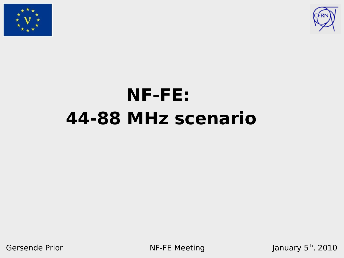



# **NF-FE: 44-88 MHz scenario**

Gersende Prior NF-FE Meeting

January 5<sup>th</sup>, 2010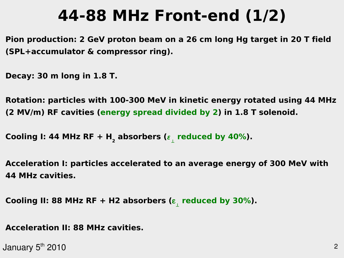# **44-88 MHz Front-end (1/2)**

**Pion production: 2 GeV proton beam on a 26 cm long Hg target in 20 T field (SPL+accumulator & compressor ring).**

**Decay: 30 m long in 1.8 T.**

**Rotation: particles with 100-300 MeV in kinetic energy rotated using 44 MHz (2 MV/m) RF cavities (energy spread divided by 2) in 1.8 T solenoid.**

**Cooling I: 44 MHz RF + H<sup>2</sup> absorbers ( reduced by 40%).**

**Acceleration I: particles accelerated to an average energy of 300 MeV with 44 MHz cavities.**

**Cooling II: 88 MHz RF + H2 absorbers ( reduced by 30%).**

**Acceleration II: 88 MHz cavities.**

January 5 $^{\rm th}$  2010  $^{\rm 2}$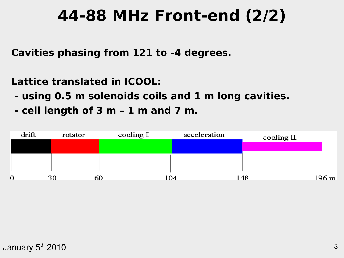## **44-88 MHz Front-end (2/2)**

**Cavities phasing from 121 to -4 degrees.**

**Lattice translated in ICOOL:**

- **using 0.5 m solenoids coils and 1 m long cavities.**
- **cell length of 3 m 1 m and 7 m.**

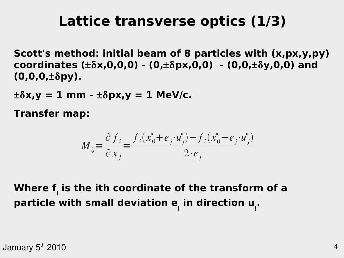### **Lattice transverse optics (1/3)**

**Scott's method: initial beam of 8 particles with (x,px,y,py) coordinates (x,0,0,0) - (0,px,0,0) - (0,0,y,0,0) and (0,0,0,py).**

 $\pm \delta x$ ,  $y = 1$  mm  $\pm \delta px$ ,  $y = 1$  MeV/c.

**Transfer map:**

$$
M_{ij} = \frac{\partial f_i}{\partial x_j} = \frac{f_i(\vec{x_0} + e_j \cdot \vec{u_j}) - f_i(\vec{x_0} - e_j \cdot \vec{u_j})}{2 \cdot e_j}
$$

**Where f<sup>i</sup> is the ith coordinate of the transform of a particle with small deviation e<sup>j</sup> in direction u<sup>j</sup> .**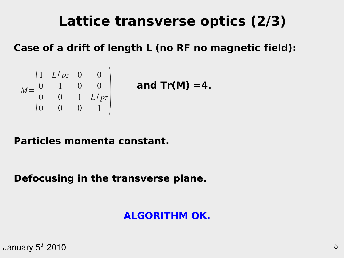### **Lattice transverse optics (2/3)**

### **Case of a drift of length L (no RF no magnetic field):**

$$
M = \begin{pmatrix} 1 & L/pz & 0 & 0 \\ 0 & 1 & 0 & 0 \\ 0 & 0 & 1 & L/pz \\ 0 & 0 & 0 & 1 \end{pmatrix}
$$

 **and Tr(M) =4.**

#### **Particles momenta constant.**

#### **Defocusing in the transverse plane.**

### **ALGORITHM OK.**

January 5 $^{\rm th}$  2010  $^{\rm t}$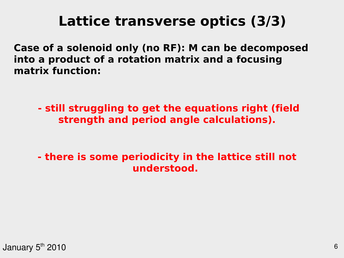### **Lattice transverse optics (3/3)**

**Case of a solenoid only (no RF): M can be decomposed into a product of a rotation matrix and a focusing matrix function:**

**- still struggling to get the equations right (field strength and period angle calculations).**

**- there is some periodicity in the lattice still not understood.**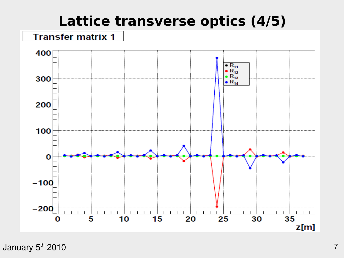### **Lattice transverse optics (4/5)**

#### **Transfer matrix 1**



January 5 $^{\rm th}$  2010  $^{\rm 7}$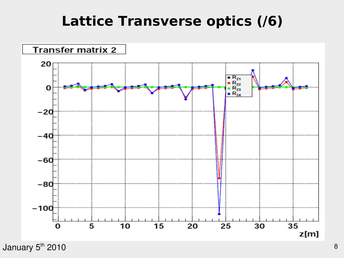### **Lattice Transverse optics (/6)**



January 5 $^{\rm th}$  2010  $^{\rm st}$  . The contract of the contract of the contract of the contract of the contract of the contract of the contract of the contract of the contract of the contract of the contract of the contract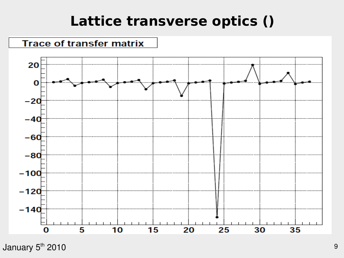### **Lattice transverse optics ()**



January 5 $^{\rm th}$  2010  $^{\rm s}$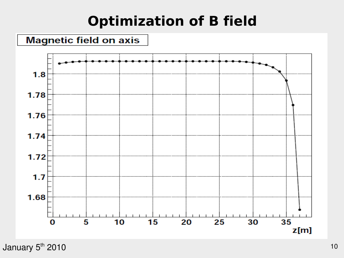### **Optimization of B field**



January 5<sup>th</sup> 2010 10